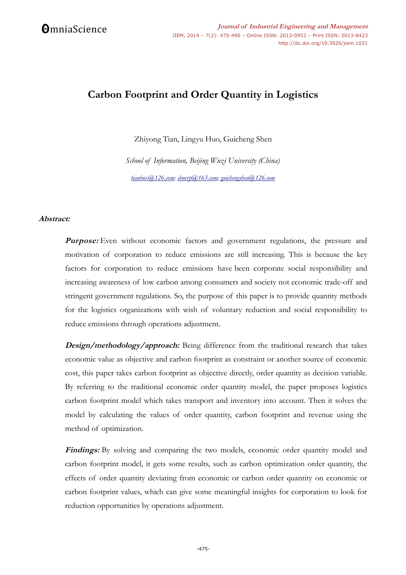# **Carbon Footprint and Order Quantity in Logistics**

Zhiyong Tian, Lingyu Huo, Guicheng Shen

*School of Information, Beijing Wuzi University (China) [tianbox@126.com;](mailto:tianbox@126.com) [sboerp@163.com;](mailto:sboerp@163.com) [guichengshen@126.com](mailto:guichengshen@126.com)*

# **Abstract:**

**Purpose:** Even without economic factors and government regulations, the pressure and motivation of corporation to reduce emissions are still increasing. This is because the key factors for corporation to reduce emissions have been corporate social responsibility and increasing awareness of low carbon among consumers and society not economic trade-off and stringent government regulations. So, the purpose of this paper is to provide quantity methods for the logistics organizations with wish of voluntary reduction and social responsibility to reduce emissions through operations adjustment.

**Design/methodology/approach:** Being difference from the traditional research that takes economic value as objective and carbon footprint as constraint or another source of economic cost, this paper takes carbon footprint as objective directly, order quantity as decision variable. By referring to the traditional economic order quantity model, the paper proposes logistics carbon footprint model which takes transport and inventory into account. Then it solves the model by calculating the values of order quantity, carbon footprint and revenue using the method of optimization.

**Findings:** By solving and comparing the two models, economic order quantity model and carbon footprint model, it gets some results, such as carbon optimization order quantity, the effects of order quantity deviating from economic or carbon order quantity on economic or carbon footprint values, which can give some meaningful insights for corporation to look for reduction opportunities by operations adjustment.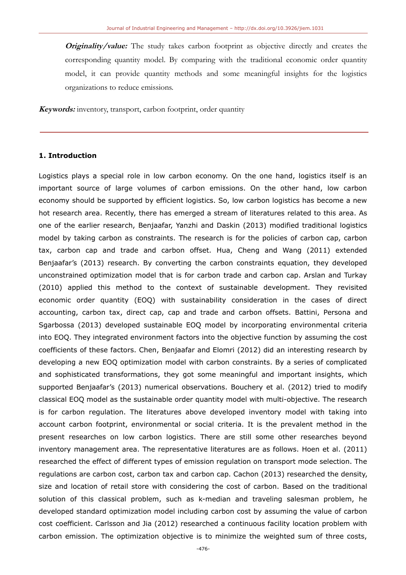**Originality/value:** The study takes carbon footprint as objective directly and creates the corresponding quantity model. By comparing with the traditional economic order quantity model, it can provide quantity methods and some meaningful insights for the logistics organizations to reduce emissions.

**Keywords:** inventory, transport, carbon footprint, order quantity

# **1. Introduction**

Logistics plays a special role in low carbon economy. On the one hand, logistics itself is an important source of large volumes of carbon emissions. On the other hand, low carbon economy should be supported by efficient logistics. So, low carbon logistics has become a new hot research area. Recently, there has emerged a stream of literatures related to this area. As one of the earlier research, Benjaafar, Yanzhi and Daskin (2013) modified traditional logistics model by taking carbon as constraints. The research is for the policies of carbon cap, carbon tax, carbon cap and trade and carbon offset. Hua, Cheng and Wang (2011) extended Benjaafar's (2013) research. By converting the carbon constraints equation, they developed unconstrained optimization model that is for carbon trade and carbon cap. Arslan and Turkay (2010) applied this method to the context of sustainable development. They revisited economic order quantity (EOQ) with sustainability consideration in the cases of direct accounting, carbon tax, direct cap, cap and trade and carbon offsets. Battini, Persona and Sgarbossa (2013) developed sustainable EOQ model by incorporating environmental criteria into EOQ. They integrated environment factors into the objective function by assuming the cost coefficients of these factors. Chen, Benjaafar and Elomri (2012) did an interesting research by developing a new EOQ optimization model with carbon constraints. By a series of complicated and sophisticated transformations, they got some meaningful and important insights, which supported Benjaafar's (2013) numerical observations. Bouchery et al. (2012) tried to modify classical EOQ model as the sustainable order quantity model with multi-objective. The research is for carbon regulation. The literatures above developed inventory model with taking into account carbon footprint, environmental or social criteria. It is the prevalent method in the present researches on low carbon logistics. There are still some other researches beyond inventory management area. The representative literatures are as follows. Hoen et al. (2011) researched the effect of different types of emission regulation on transport mode selection. The regulations are carbon cost, carbon tax and carbon cap. Cachon (2013) researched the density, size and location of retail store with considering the cost of carbon. Based on the traditional solution of this classical problem, such as k-median and traveling salesman problem, he developed standard optimization model including carbon cost by assuming the value of carbon cost coefficient. Carlsson and Jia (2012) researched a continuous facility location problem with carbon emission. The optimization objective is to minimize the weighted sum of three costs,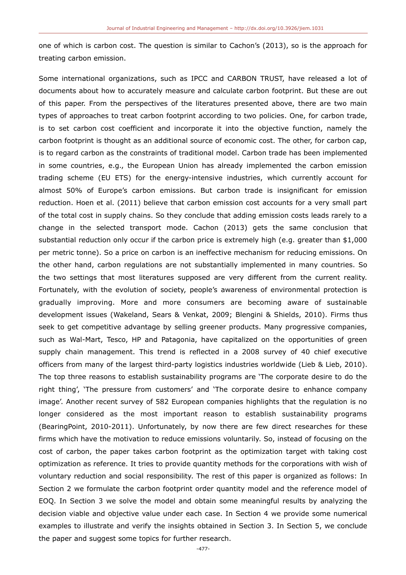one of which is carbon cost. The question is similar to Cachon's (2013), so is the approach for treating carbon emission.

Some international organizations, such as IPCC and CARBON TRUST, have released a lot of documents about how to accurately measure and calculate carbon footprint. But these are out of this paper. From the perspectives of the literatures presented above, there are two main types of approaches to treat carbon footprint according to two policies. One, for carbon trade, is to set carbon cost coefficient and incorporate it into the objective function, namely the carbon footprint is thought as an additional source of economic cost. The other, for carbon cap, is to regard carbon as the constraints of traditional model. Carbon trade has been implemented in some countries, e.g., the European Union has already implemented the carbon emission trading scheme (EU ETS) for the energy-intensive industries, which currently account for almost 50% of Europe's carbon emissions. But carbon trade is insignificant for emission reduction. Hoen et al. (2011) believe that carbon emission cost accounts for a very small part of the total cost in supply chains. So they conclude that adding emission costs leads rarely to a change in the selected transport mode. Cachon (2013) gets the same conclusion that substantial reduction only occur if the carbon price is extremely high (e.g. greater than \$1,000 per metric tonne). So a price on carbon is an ineffective mechanism for reducing emissions. On the other hand, carbon regulations are not substantially implemented in many countries. So the two settings that most literatures supposed are very different from the current reality. Fortunately, with the evolution of society, people's awareness of environmental protection is gradually improving. More and more consumers are becoming aware of sustainable development issues (Wakeland, Sears & Venkat, 2009; Blengini & Shields, 2010). Firms thus seek to get competitive advantage by selling greener products. Many progressive companies, such as Wal-Mart, Tesco, HP and Patagonia, have capitalized on the opportunities of green supply chain management. This trend is reflected in a 2008 survey of 40 chief executive officers from many of the largest third-party logistics industries worldwide (Lieb & Lieb, 2010). The top three reasons to establish sustainability programs are 'The corporate desire to do the right thing', 'The pressure from customers' and 'The corporate desire to enhance company image'. Another recent survey of 582 European companies highlights that the regulation is no longer considered as the most important reason to establish sustainability programs (BearingPoint, 2010-2011). Unfortunately, by now there are few direct researches for these firms which have the motivation to reduce emissions voluntarily. So, instead of focusing on the cost of carbon, the paper takes carbon footprint as the optimization target with taking cost optimization as reference. It tries to provide quantity methods for the corporations with wish of voluntary reduction and social responsibility. The rest of this paper is organized as follows: In Section 2 we formulate the carbon footprint order quantity model and the reference model of EOQ. In Section 3 we solve the model and obtain some meaningful results by analyzing the decision viable and objective value under each case. In Section 4 we provide some numerical examples to illustrate and verify the insights obtained in Section 3. In Section 5, we conclude the paper and suggest some topics for further research.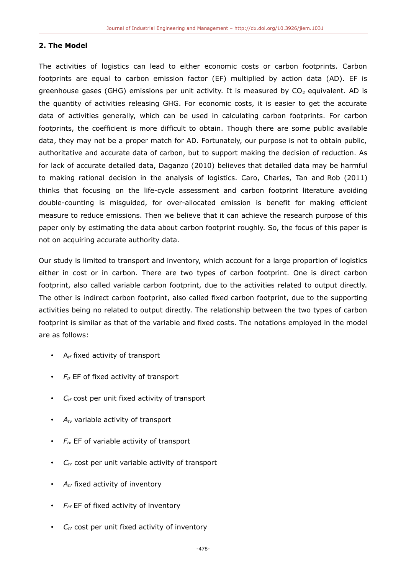### **2. The Model**

The activities of logistics can lead to either economic costs or carbon footprints. Carbon footprints are equal to carbon emission factor (EF) multiplied by action data (AD). EF is greenhouse gases (GHG) emissions per unit activity. It is measured by  $CO<sub>2</sub>$  equivalent. AD is the quantity of activities releasing GHG. For economic costs, it is easier to get the accurate data of activities generally, which can be used in calculating carbon footprints. For carbon footprints, the coefficient is more difficult to obtain. Though there are some public available data, they may not be a proper match for AD. Fortunately, our purpose is not to obtain public, authoritative and accurate data of carbon, but to support making the decision of reduction. As for lack of accurate detailed data, Daganzo (2010) believes that detailed data may be harmful to making rational decision in the analysis of logistics. Caro, Charles, Tan and Rob (2011) thinks that focusing on the life-cycle assessment and carbon footprint literature avoiding double-counting is misguided, for over-allocated emission is benefit for making efficient measure to reduce emissions. Then we believe that it can achieve the research purpose of this paper only by estimating the data about carbon footprint roughly. So, the focus of this paper is not on acquiring accurate authority data.

Our study is limited to transport and inventory, which account for a large proportion of logistics either in cost or in carbon. There are two types of carbon footprint. One is direct carbon footprint, also called variable carbon footprint, due to the activities related to output directly. The other is indirect carbon footprint, also called fixed carbon footprint, due to the supporting activities being no related to output directly. The relationship between the two types of carbon footprint is similar as that of the variable and fixed costs. The notations employed in the model are as follows:

- A*tf* fixed activity of transport
- *Ftf* EF of fixed activity of transport
- *C*<sup>t</sup> cost per unit fixed activity of transport
- $A_{t}$  variable activity of transport
- *Ftv* EF of variable activity of transport
- *Ctv* cost per unit variable activity of transport
- *Ahf* fixed activity of inventory
- *Fhf* EF of fixed activity of inventory
- *Chf* cost per unit fixed activity of inventory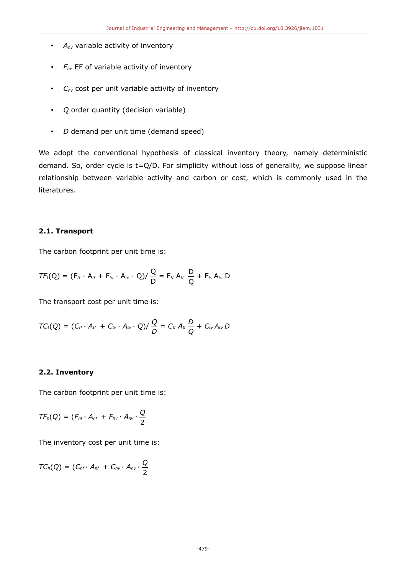- *Ahv* variable activity of inventory
- *Fhv* EF of variable activity of inventory
- *Chv* cost per unit variable activity of inventory
- *Q* order quantity (decision variable)
- *D* demand per unit time (demand speed)

We adopt the conventional hypothesis of classical inventory theory, namely deterministic demand. So, order cycle is t=Q/D. For simplicity without loss of generality, we suppose linear relationship between variable activity and carbon or cost, which is commonly used in the literatures.

# **2.1. Transport**

The carbon footprint per unit time is:

$$
TF_t(Q) = (F_{tt} \cdot A_{tt} + F_{tv} \cdot A_{tv} \cdot Q)/\frac{Q}{D} = F_{tt} A_{tt} \frac{D}{Q} + F_{tv} A_{tv} D
$$

The transport cost per unit time is:

$$
TC_t(Q) = (C_{tt} \cdot A_{tt} + C_{tv} \cdot A_{tv} \cdot Q)/\frac{Q}{D} = C_{tt} A_{tt} \frac{D}{Q} + C_{tv} A_{tv} D
$$

# **2.2. Inventory**

The carbon footprint per unit time is:

$$
TF_h(Q) = (F_{hf} \cdot A_{hf} + F_{hv} \cdot A_{hv} \cdot \frac{Q}{2})
$$

The inventory cost per unit time is:

$$
TC_h(Q) = (C_{hf} \cdot A_{hf} + C_{hv} \cdot A_{hv} \cdot \frac{Q}{2})
$$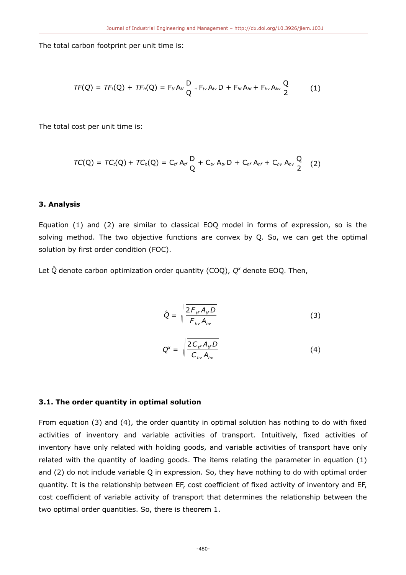The total carbon footprint per unit time is:

$$
TF(Q) = TF_t(Q) + TF_h(Q) = F_{tf}A_{tf}\frac{D}{Q} + F_{tv}A_{tv}D + F_{hf}A_{hf} + F_{hv}A_{hv}\frac{Q}{2}
$$
 (1)

The total cost per unit time is:

$$
TC(Q) = TC_t(Q) + TC_h(Q) = C_{tf} A_{tf} \frac{D}{Q} + C_{tv} A_{tv} D + C_{hf} A_{hf} + C_{hv} A_{hv} \frac{Q}{2}
$$
 (2)

#### **3. Analysis**

Equation (1) and (2) are similar to classical EOQ model in forms of expression, so is the solving method. The two objective functions are convex by Q. So, we can get the optimal solution by first order condition (FOC).

Let *Q*^ denote carbon optimization order quantity (COQ), *Q x* denote EOQ. Then,

$$
\hat{Q} = \sqrt{\frac{2F_{tr}A_{tr}D}{F_{hv}A_{hv}}}
$$
\n(3)

$$
Q^x = \sqrt{\frac{2C_{\text{tr}}A_{\text{tr}}D}{C_{\text{hv}}A_{\text{hv}}}}
$$
(4)

#### **3.1. The order quantity in optimal solution**

From equation (3) and (4), the order quantity in optimal solution has nothing to do with fixed activities of inventory and variable activities of transport. Intuitively, fixed activities of inventory have only related with holding goods, and variable activities of transport have only related with the quantity of loading goods. The items relating the parameter in equation (1) and (2) do not include variable Q in expression. So, they have nothing to do with optimal order quantity. It is the relationship between EF, cost coefficient of fixed activity of inventory and EF, cost coefficient of variable activity of transport that determines the relationship between the two optimal order quantities. So, there is theorem 1.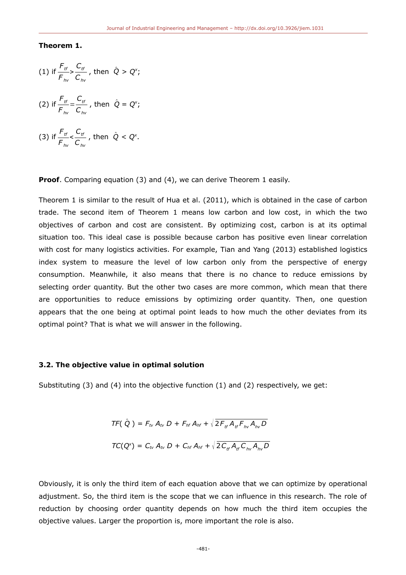## **Theorem 1.**

(1) if 
$$
\frac{F_{tr}}{F_{hv}} > \frac{C_{tr}}{C_{hv}}
$$
, then  $\hat{Q} > Q^x$ ;

- (2) if  $\frac{F_{tt}}{4}$  $\frac{F_{tt}}{F_{hv}} = \frac{C_{tt}}{C_{hv}}$ *Chv* , then  $\hat{Q} = Q^x$ ;
- (3) if  $\frac{F_{tt}}{4}$  $\frac{F_{tt}}{F_{hv}} < \frac{C_{tt}}{C_{hv}}$ *Chv* , then  $\hat{Q} < Q^{\mathsf{x}}$ .

**Proof.** Comparing equation (3) and (4), we can derive Theorem 1 easily.

Theorem 1 is similar to the result of Hua et al. (2011), which is obtained in the case of carbon trade. The second item of Theorem 1 means low carbon and low cost, in which the two objectives of carbon and cost are consistent. By optimizing cost, carbon is at its optimal situation too. This ideal case is possible because carbon has positive even linear correlation with cost for many logistics activities. For example, Tian and Yang (2013) established logistics index system to measure the level of low carbon only from the perspective of energy consumption. Meanwhile, it also means that there is no chance to reduce emissions by selecting order quantity. But the other two cases are more common, which mean that there are opportunities to reduce emissions by optimizing order quantity. Then, one question appears that the one being at optimal point leads to how much the other deviates from its optimal point? That is what we will answer in the following.

#### **3.2. The objective value in optimal solution**

Substituting (3) and (4) into the objective function (1) and (2) respectively, we get:

$$
TF(\hat{Q}) = F_{tv} A_{tv} D + F_{hf} A_{hf} + \sqrt{2F_{tf} A_{tf} F_{hv} A_{hv} D}
$$
  

$$
TC(Q^x) = C_{tv} A_{tv} D + C_{hf} A_{hf} + \sqrt{2C_{tf} A_{tf} C_{hv} A_{hv} D}
$$

Obviously, it is only the third item of each equation above that we can optimize by operational adjustment. So, the third item is the scope that we can influence in this research. The role of reduction by choosing order quantity depends on how much the third item occupies the objective values. Larger the proportion is, more important the role is also.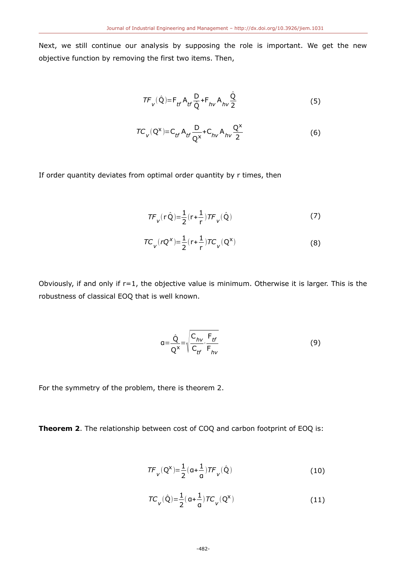Next, we still continue our analysis by supposing the role is important. We get the new objective function by removing the first two items. Then,

$$
TF_{V}(\hat{Q}) = F_{tf} A_{tf} \frac{D}{\hat{Q}} + F_{hv} A_{hv} \frac{\hat{Q}}{2}
$$
 (5)

$$
TC_{V}(Q^{X}) = C_{tf} A_{tf} \frac{D}{Q^{X}} + C_{hv} A_{hv} \frac{Q^{X}}{2}
$$
 (6)

If order quantity deviates from optimal order quantity by r times, then

$$
TF_{V}(r\hat{Q}) = \frac{1}{2}(r + \frac{1}{r})TF_{V}(\hat{Q})
$$
\n(7)

$$
TC_{V}(rQ^{X}) = \frac{1}{2}(r + \frac{1}{r})TC_{V}(Q^{X})
$$
\n(8)

Obviously, if and only if r=1, the objective value is minimum. Otherwise it is larger. This is the robustness of classical EOQ that is well known.

$$
a = \frac{\hat{Q}}{Q^x} = \sqrt{\frac{C_{hv}}{C_{tf}} \cdot \frac{F_{tf}}{F_{hv}}}
$$
(9)

For the symmetry of the problem, there is theorem 2.

**Theorem 2**. The relationship between cost of COQ and carbon footprint of EOQ is:

$$
TF_{V}(Q^{X}) = \frac{1}{2}(a + \frac{1}{a})TF_{V}(\hat{Q})
$$
\n(10)

$$
TC_{V}(\hat{Q}) = \frac{1}{2}(a + \frac{1}{a})TC_{V}(Q^{X})
$$
\n(11)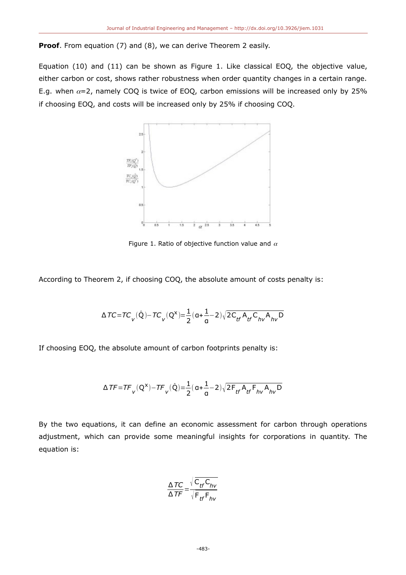**Proof.** From equation (7) and (8), we can derive Theorem 2 easily.

Equation (10) and (11) can be shown as Figure 1. Like classical EOQ, the objective value, either carbon or cost, shows rather robustness when order quantity changes in a certain range. E.g. when  $\alpha=2$ , namely COQ is twice of EOQ, carbon emissions will be increased only by 25% if choosing EOQ, and costs will be increased only by 25% if choosing COQ.



Figure 1. Ratio of objective function value and  $\alpha$ 

According to Theorem 2, if choosing COQ, the absolute amount of costs penalty is:

$$
\Delta \text{TC} \!=\! T C_{_{\text{V}}}(\hat{Q}) \!-\! T C_{_{\text{V}}}({Q}^{\text{x}}) \!\!=\!\! \frac{1}{2} (a \!+\! \frac{1}{a} \!-\! 2) \sqrt{2 C_{\text{tf}} A_{\text{tf}} C_{\text{hv}} A_{\text{hv}} D}
$$

If choosing EOQ, the absolute amount of carbon footprints penalty is:

$$
\Delta \, T F \!=\! T F_{_V} (Q^x) \!-\! T F_{_V} (\hat{Q}) \!=\! \frac{1}{2} (\, a \!+\! \frac{1}{a} \!-\! 2) \sqrt{2 F_{tf} \, A_{tf} \, F_{hv} \, A_{hv} \, D}
$$

By the two equations, it can define an economic assessment for carbon through operations adjustment, which can provide some meaningful insights for corporations in quantity. The equation is:

$$
\frac{\Delta \textit{TC}}{\Delta \textit{TF}} = \frac{\sqrt{C_{\textit{tf}} C_{\textit{hv}}}}{\sqrt{F_{\textit{tf}} F_{\textit{hv}}}}
$$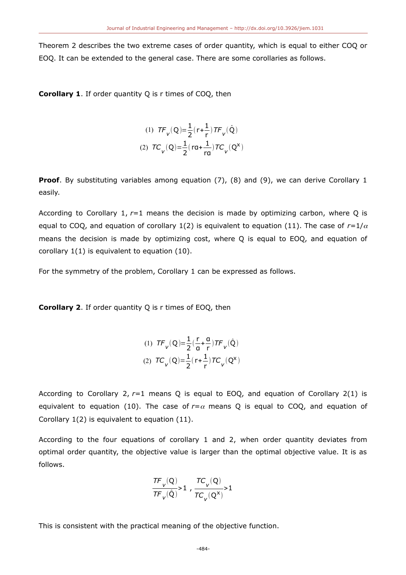Theorem 2 describes the two extreme cases of order quantity, which is equal to either COQ or EOQ. It can be extended to the general case. There are some corollaries as follows.

**Corollary 1.** If order quantity O is r times of COO, then

(1) 
$$
TF_V(Q) = \frac{1}{2}(r + \frac{1}{r})TF_V(\hat{Q})
$$
  
(2)  $TC_V(Q) = \frac{1}{2}(ra + \frac{1}{rq})TC_V(Q^X)$ 

**Proof**. By substituting variables among equation (7), (8) and (9), we can derive Corollary 1 easily.

According to Corollary 1, *r*=1 means the decision is made by optimizing carbon, where Q is equal to COQ, and equation of corollary 1(2) is equivalent to equation (11). The case of  $r=1/\alpha$ means the decision is made by optimizing cost, where Q is equal to EOQ, and equation of corollary 1(1) is equivalent to equation (10).

For the symmetry of the problem, Corollary 1 can be expressed as follows.

**Corollary 2**. If order quantity Q is r times of EOQ, then

(1) 
$$
TF_V(Q) = \frac{1}{2}(\frac{r}{q} + \frac{q}{r})TF_V(\hat{Q})
$$
  
(2)  $TC_V(Q) = \frac{1}{2}(r + \frac{1}{r})TC_V(Q^x)$ 

According to Corollary 2, *r*=1 means Q is equal to EOQ, and equation of Corollary 2(1) is equivalent to equation (10). The case of  $r = \alpha$  means Q is equal to COQ, and equation of Corollary 1(2) is equivalent to equation (11).

According to the four equations of corollary 1 and 2, when order quantity deviates from optimal order quantity, the objective value is larger than the optimal objective value. It is as follows.

$$
\frac{TF_{v}(Q)}{TF_{v}(\hat{Q})} > 1, \frac{TC_{v}(Q)}{TC_{v}(Q^{x})} > 1
$$

This is consistent with the practical meaning of the objective function.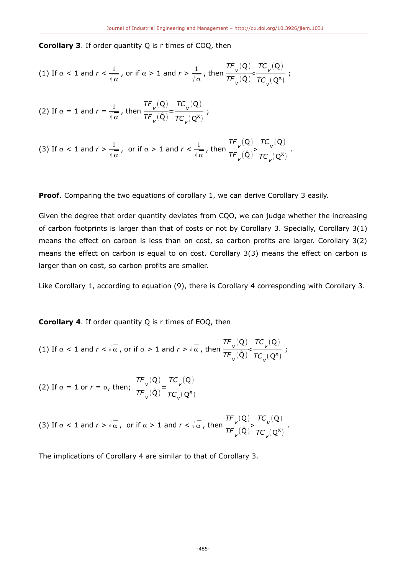**Corollary 3**. If order quantity Q is r times of COQ, then

(1) If 
$$
\alpha < 1
$$
 and  $r < \frac{1}{\sqrt{\alpha}}$ , or if  $\alpha > 1$  and  $r > \frac{1}{\sqrt{\alpha}}$ , then  $\frac{TF_v(Q)}{TF_v(Q)} < \frac{TC_v(Q)}{TC_v(Q^x)}$ ;

(2) If 
$$
\alpha = 1
$$
 and  $r = \frac{1}{\sqrt{\alpha}}$ , then  $\frac{\tau F_v(Q)}{\tau F_v(Q)} = \frac{\tau C_v(Q)}{\tau C_v(Q^x)}$ ;

(3) If 
$$
\alpha < 1
$$
 and  $r > \frac{1}{\sqrt{\alpha}}$ , or if  $\alpha > 1$  and  $r < \frac{1}{\sqrt{\alpha}}$ , then  $\frac{\pi F_v(Q)}{\pi F_v(Q)} > \frac{\pi C_v(Q)}{\pi C_v(Q^x)}$ .

**Proof**. Comparing the two equations of corollary 1, we can derive Corollary 3 easily.

Given the degree that order quantity deviates from CQO, we can judge whether the increasing of carbon footprints is larger than that of costs or not by Corollary 3. Specially, Corollary 3(1) means the effect on carbon is less than on cost, so carbon profits are larger. Corollary 3(2) means the effect on carbon is equal to on cost. Corollary 3(3) means the effect on carbon is larger than on cost, so carbon profits are smaller.

Like Corollary 1, according to equation (9), there is Corollary 4 corresponding with Corollary 3.

**Corollary 4**. If order quantity Q is r times of EOQ, then

(1) If 
$$
\alpha < 1
$$
 and  $r < \sqrt{\alpha}$ , or if  $\alpha > 1$  and  $r > \sqrt{\alpha}$ , then  $\frac{TF_v(Q)}{TF_v(Q)} < \frac{TC_v(Q)}{TC_v(Q^x)}$ ;

(2) If  $\alpha = 1$  or  $r = \alpha$ , then; *TF v* (Q)  $\mathsf{TF}_{\mathsf{v}}^{\vphantom{\dagger}}(\hat{\mathsf{Q}})$ = *TC v* (Q)  $TC_v(Q^x)$ 

(3) If 
$$
\alpha < 1
$$
 and  $r > \sqrt{\alpha}$ , or if  $\alpha > 1$  and  $r < \sqrt{\alpha}$ , then  $\frac{TF_v(Q)}{TF_v(Q)} > \frac{TC_v(Q)}{TC_v(Q^x)}$ .

The implications of Corollary 4 are similar to that of Corollary 3.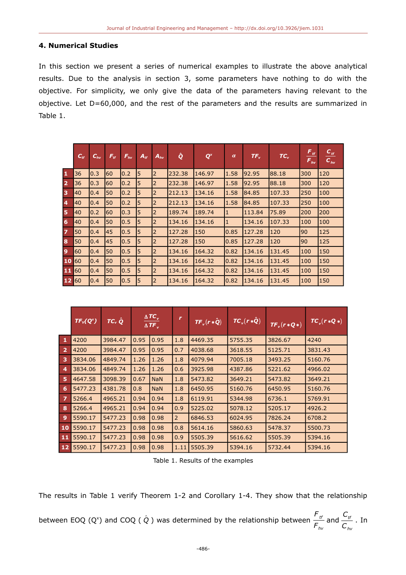#### **4. Numerical Studies**

In this section we present a series of numerical examples to illustrate the above analytical results. Due to the analysis in section 3, some parameters have nothing to do with the objective. For simplicity, we only give the data of the parameters having relevant to the objective. Let D=60,000, and the rest of the parameters and the results are summarized in Table 1.

|                | $C_{tf}$ | $C_{hv}$ | $F_{tf}$ | $F_{hv}$ | $A_{tf}$ | $A_{hv}$ | ĝ      | $\mathbf{Q}^{\mathsf{x}}$ | $\alpha$     | $TF_v$ | $TC_v$ | $F_{tt}$<br>$F_{hv}$ | $C_{tt}$<br>$C_{hv}$ |
|----------------|----------|----------|----------|----------|----------|----------|--------|---------------------------|--------------|--------|--------|----------------------|----------------------|
| $\mathbf{1}$   | 36       | 0.3      | 60       | 0.2      | 5        | 2        | 232.38 | 146.97                    | 1.58         | 92.95  | 88.18  | 300                  | 120                  |
| $\overline{2}$ | 36       | 0.3      | 60       | 0.2      | 5        | 2        | 232.38 | 146.97                    | 1.58         | 92.95  | 88.18  | 300                  | 120                  |
| 3              | 40       | 0.4      | 50       | 0.2      | 5        | 2        | 212.13 | 134.16                    | 1.58         | 84.85  | 107.33 | 250                  | 100                  |
| $\overline{4}$ | 40       | 0.4      | 50       | 0.2      | 5        | 2        | 212.13 | 134.16                    | 1.58         | 84.85  | 107.33 | 250                  | 100                  |
| 5              | 40       | 0.2      | 60       | 0.3      | 5        | 2        | 189.74 | 189.74                    | $\mathbf{1}$ | 113.84 | 75.89  | 200                  | 200                  |
| 6              | 40       | 0.4      | 50       | 0.5      | 5        | 12       | 134.16 | 134.16                    | $\mathbf{1}$ | 134.16 | 107.33 | 100                  | 100                  |
| $\overline{z}$ | 50       | 0.4      | 45       | 0.5      | 5        | 2        | 127.28 | 150                       | 0.85         | 127.28 | 120    | 90                   | 125                  |
| 8              | 50       | 0.4      | 45       | 0.5      | 5        | 2        | 127.28 | 150                       | 0.85         | 127.28 | 120    | 90                   | 125                  |
| 9              | 60       | 0.4      | 50       | 0.5      | 5        | 2        | 134.16 | 164.32                    | 0.82         | 134.16 | 131.45 | 100                  | 150                  |
| 10             | 60       | 0.4      | 50       | 0.5      | 5        | 2        | 134.16 | 164.32                    | 0.82         | 134.16 | 131.45 | 100                  | 150                  |
| 11             | I60      | 0.4      | 50       | 0.5      | 5        | 2        | 134.16 | 164.32                    | 0.82         | 134.16 | 131.45 | 100                  | 150                  |
| 12 60          |          | 0.4      | 50       | 0.5      | 5        | 12       | 134.16 | 164.32                    | 0.82         | 134.16 | 131.45 | 100                  | 150                  |

|                | $TC_v \hat{Q}$<br>$TF_v(Q^x)$ |         | $\triangle TC$ <sub>v</sub><br>$\overline{\triangle T F_{v}}$ |            | r    | $TF_v(r*\hat{Q})$ | $TC_v(r*\hat{Q})$ | $TF_v(r*Q*)$ | $TC_v(r*Q*)$ |
|----------------|-------------------------------|---------|---------------------------------------------------------------|------------|------|-------------------|-------------------|--------------|--------------|
| 1              | 4200                          | 3984.47 | 0.95                                                          | 0.95       | 1.8  | 4469.35           | 5755.35           | 3826.67      | 4240         |
| $\overline{2}$ | 4200                          | 3984.47 | 0.95                                                          | 0.95       | 0.7  | 4038.68           | 3618.55           | 5125.71      | 3831.43      |
| 3              | 3834.06                       | 4849.74 | 1.26                                                          | 1.26       | 1.8  | 4079.94           | 7005.18           | 3493.25      | 5160.76      |
| 4              | 3834.06                       | 4849.74 | 1.26                                                          | 1.26       | 0.6  | 3925.98           | 4387.86           | 5221.62      | 4966.02      |
| 5              | 4647.58                       | 3098.39 | 0.67                                                          | <b>NaN</b> | 1.8  | 5473.82           | 3649.21           | 5473.82      | 3649.21      |
| 6              | 5477.23                       | 4381.78 | 0.8                                                           | <b>NaN</b> | 1.8  | 6450.95           | 5160.76           | 6450.95      | 5160.76      |
| $\overline{z}$ | 5266.4                        | 4965.21 | 0.94                                                          | 0.94       | 1.8  | 6119.91           | 5344.98           | 6736.1       | 5769.91      |
| 8              | 5266.4                        | 4965.21 | 0.94                                                          | 0.94       | 0.9  | 5225.02           | 5078.12           | 5205.17      | 4926.2       |
| 9              | 5590.17                       | 5477.23 | 0.98                                                          | 0.98       | 2    | 6846.53           | 6024.95           | 7826.24      | 6708.2       |
| 10             | 5590.17                       | 5477.23 | 0.98                                                          | 0.98       | 0.8  | 5614.16           | 5860.63           | 5478.37      | 5500.73      |
| 11             | 5590.17                       | 5477.23 | 0.98                                                          | 0.98       | 0.9  | 5505.39           | 5616.62           | 5505.39      | 5394.16      |
|                | 12 5590.17                    | 5477.23 | 0.98                                                          | 0.98       | 1.11 | 5505.39           | 5394.16           | 5732.44      | 5394.16      |

Table 1. Results of the examples

The results in Table 1 verify Theorem 1-2 and Corollary 1-4. They show that the relationship

between EOQ (Q<sup>x</sup>) and COQ (  $\hat{Q}$  ) was determined by the relationship between  $\frac{F_{tt}}{F}$  $\frac{{\mathit{F}}_{\mathit{tr}}}{\mathit{F}_{\mathit{hv}}}$  and  $\frac{{\mathit{C}}_{\mathit{tr}}}{\mathit{C}_{\mathit{hv}}}$ *Chv* . In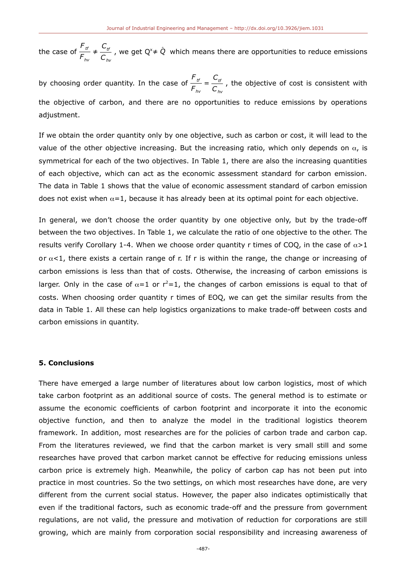the case of  $\frac{F_{tt}}{F}$  $\frac{F_{tt}}{F_{hv}} \neq \frac{C_{tt}}{C_{hv}}$ *Chv* , we get  $Q^{\times} \neq \hat{Q}^{\times}$  which means there are opportunities to reduce emissions

by choosing order quantity. In the case of  $\frac{F_{tt}}{F_{tt}}$  $\frac{F_{tt}}{F_{hv}} = \frac{C_{tt}}{C_{hv}}$ *Chv* , the objective of cost is consistent with the objective of carbon, and there are no opportunities to reduce emissions by operations adjustment.

If we obtain the order quantity only by one objective, such as carbon or cost, it will lead to the value of the other objective increasing. But the increasing ratio, which only depends on  $\alpha$ , is symmetrical for each of the two objectives. In Table 1, there are also the increasing quantities of each objective, which can act as the economic assessment standard for carbon emission. The data in Table 1 shows that the value of economic assessment standard of carbon emission does not exist when  $\alpha=1$ , because it has already been at its optimal point for each objective.

In general, we don't choose the order quantity by one objective only, but by the trade-off between the two objectives. In Table 1, we calculate the ratio of one objective to the other. The results verify Corollary 1-4. When we choose order quantity r times of COQ, in the case of  $\alpha > 1$ or  $\alpha$ <1, there exists a certain range of r. If r is within the range, the change or increasing of carbon emissions is less than that of costs. Otherwise, the increasing of carbon emissions is larger. Only in the case of  $\alpha=1$  or  $r^2=1$ , the changes of carbon emissions is equal to that of costs. When choosing order quantity r times of EOQ, we can get the similar results from the data in Table 1. All these can help logistics organizations to make trade-off between costs and carbon emissions in quantity.

# **5. Conclusions**

There have emerged a large number of literatures about low carbon logistics, most of which take carbon footprint as an additional source of costs. The general method is to estimate or assume the economic coefficients of carbon footprint and incorporate it into the economic objective function, and then to analyze the model in the traditional logistics theorem framework. In addition, most researches are for the policies of carbon trade and carbon cap. From the literatures reviewed, we find that the carbon market is very small still and some researches have proved that carbon market cannot be effective for reducing emissions unless carbon price is extremely high. Meanwhile, the policy of carbon cap has not been put into practice in most countries. So the two settings, on which most researches have done, are very different from the current social status. However, the paper also indicates optimistically that even if the traditional factors, such as economic trade-off and the pressure from government regulations, are not valid, the pressure and motivation of reduction for corporations are still growing, which are mainly from corporation social responsibility and increasing awareness of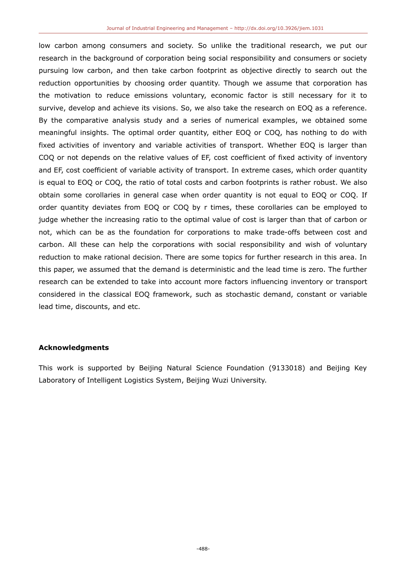low carbon among consumers and society. So unlike the traditional research, we put our research in the background of corporation being social responsibility and consumers or society pursuing low carbon, and then take carbon footprint as objective directly to search out the reduction opportunities by choosing order quantity. Though we assume that corporation has the motivation to reduce emissions voluntary, economic factor is still necessary for it to survive, develop and achieve its visions. So, we also take the research on EOQ as a reference. By the comparative analysis study and a series of numerical examples, we obtained some meaningful insights. The optimal order quantity, either EOQ or COQ, has nothing to do with fixed activities of inventory and variable activities of transport. Whether EOQ is larger than COQ or not depends on the relative values of EF, cost coefficient of fixed activity of inventory and EF, cost coefficient of variable activity of transport. In extreme cases, which order quantity is equal to EOQ or COQ, the ratio of total costs and carbon footprints is rather robust. We also obtain some corollaries in general case when order quantity is not equal to EOQ or COQ. If order quantity deviates from EOQ or COQ by r times, these corollaries can be employed to judge whether the increasing ratio to the optimal value of cost is larger than that of carbon or not, which can be as the foundation for corporations to make trade-offs between cost and carbon. All these can help the corporations with social responsibility and wish of voluntary reduction to make rational decision. There are some topics for further research in this area. In this paper, we assumed that the demand is deterministic and the lead time is zero. The further research can be extended to take into account more factors influencing inventory or transport considered in the classical EOQ framework, such as stochastic demand, constant or variable lead time, discounts, and etc.

# **Acknowledgments**

This work is supported by Beijing Natural Science Foundation (9133018) and Beijing Key Laboratory of Intelligent Logistics System, Beijing Wuzi University.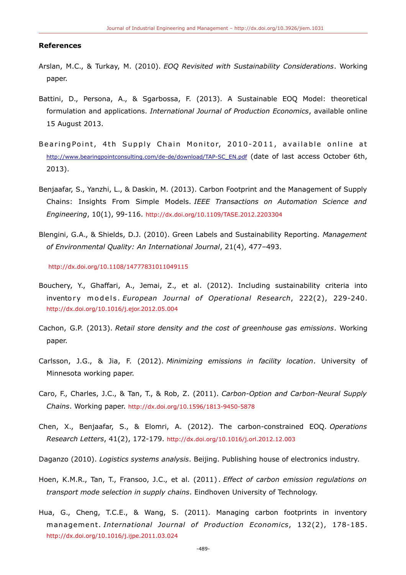#### **References**

- Arslan, M.C., & Turkay, M. (2010). *EOQ Revisited with Sustainability Considerations*. Working paper.
- Battini, D., Persona, A., & Sgarbossa, F. (2013). A Sustainable EOQ Model: theoretical formulation and applications. *International Journal of Production Economics*, available online 15 August 2013.
- BearingPoint, 4th Supply Chain Monitor, 2010-2011, available online at [http://www.bearingpointconsulting.com/de-de/download/TAP-SC\\_EN.pdf](http://www.bearingpointconsulting.com/de-de/download/TAP-SC_EN.pdf) (date of last access October 6th, 2013).
- Benjaafar, S., Yanzhi, L., & Daskin, M. (2013). Carbon Footprint and the Management of Supply Chains: Insights From Simple Models. *IEEE Transactions on Automation Science and Engineering*, 10(1), 99-116. <http://dx.doi.org/10.1109/TASE.2012.2203304>
- Blengini, G.A., & Shields, D.J. (2010). Green Labels and Sustainability Reporting. *Management of Environmental Quality: An International Journal*, 21(4), 477–493.

<http://dx.doi.org/10.1108/14777831011049115>

- Bouchery, Y., Ghaffari, A., Jemai, Z., et al. (2012). Including sustainability criteria into inventory models. *European Journal of Operational Research*, 222(2), 229-240. <http://dx.doi.org/10.1016/j.ejor.2012.05.004>
- Cachon, G.P. (2013). *Retail store density and the cost of greenhouse gas emissions*. Working paper.
- Carlsson, J.G., & Jia, F. (2012). *Minimizing emissions in facility location*. University of Minnesota working paper.
- Caro, F., Charles, J.C., & Tan, T., & Rob, Z. (2011). *Carbon-Option and Carbon-Neural Supply Chains*. Working paper. <http://dx.doi.org/10.1596/1813-9450-5878>
- Chen, X., Benjaafar, S., & Elomri, A. (2012). The carbon-constrained EOQ. *Operations Research Letters*, 41(2), 172-179. <http://dx.doi.org/10.1016/j.orl.2012.12.003>
- Daganzo (2010). *Logistics systems analysis*. Beijing. Publishing house of electronics industry.
- Hoen, K.M.R., Tan, T., Fransoo, J.C., et al. (2011) . *Effect of carbon emission regulations on transport mode selection in supply chains*. Eindhoven University of Technology.
- Hua, G., Cheng, T.C.E., & Wang, S. (2011). Managing carbon footprints in inventory management. *International Journal of Production Economics*, 132(2), 178-185. <http://dx.doi.org/10.1016/j.ijpe.2011.03.024>